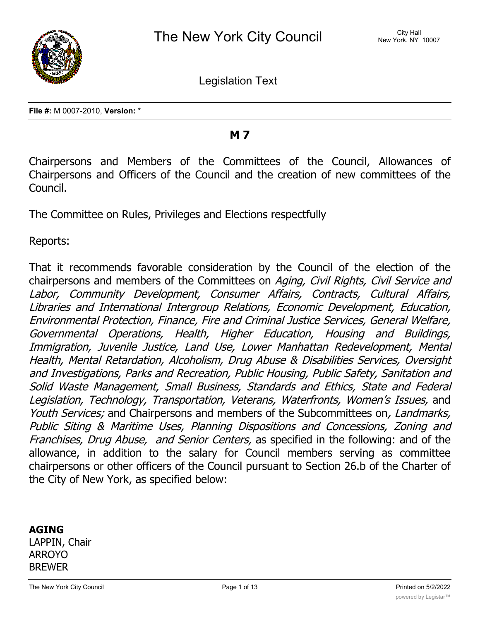

Legislation Text

**File #:** M 0007-2010, **Version:** \*

### **M 7**

Chairpersons and Members of the Committees of the Council, Allowances of Chairpersons and Officers of the Council and the creation of new committees of the Council.

The Committee on Rules, Privileges and Elections respectfully

Reports:

That it recommends favorable consideration by the Council of the election of the chairpersons and members of the Committees on *Aging, Civil Rights, Civil Service and Labor, Community Development, Consumer Affairs, Contracts, Cultural Affairs, Libraries and International Intergroup Relations, Economic Development, Education, Environmental Protection, Finance, Fire and Criminal Justice Services, General Welfare, Governmental Operations, Health, Higher Education, Housing and Buildings, Immigration, Juvenile Justice, Land Use, Lower Manhattan Redevelopment, Mental Health, Mental Retardation, Alcoholism, Drug Abuse & Disabilities Services, Oversight and Investigations, Parks and Recreation, Public Housing, Public Safety, Sanitation and Solid Waste Management, Small Business, Standards and Ethics, State and Federal Legislation, Technology, Transportation, Veterans, Waterfronts, Women's Issues,* and *Youth Services;* and Chairpersons and members of the Subcommittees on*, Landmarks, Public Siting & Maritime Uses, Planning Dispositions and Concessions, Zoning and Franchises, Drug Abuse, and Senior Centers,* as specified in the following: and of the allowance, in addition to the salary for Council members serving as committee chairpersons or other officers of the Council pursuant to Section 26.b of the Charter of the City of New York, as specified below:

### **AGING**

LAPPIN, Chair ARROYO BREWER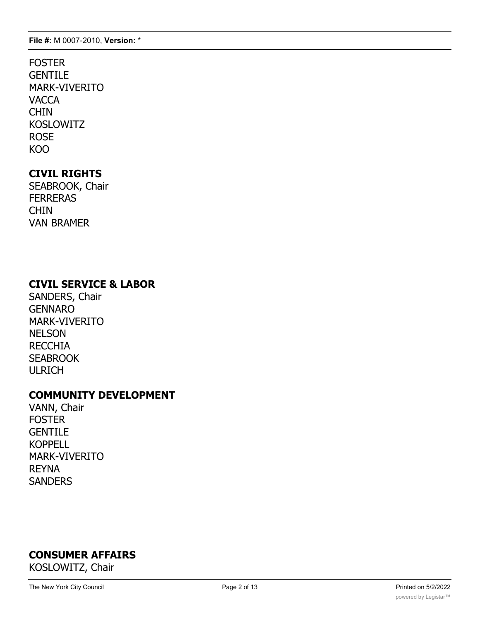### FOSTER **GENTILE** MARK-VIVERITO **VACCA** CHIN KOSLOWITZ ROSE KOO

# **CIVIL RIGHTS**

SEABROOK, Chair **FERRERAS** CHIN VAN BRAMER

### **CIVIL SERVICE & LABOR**

SANDERS, Chair GENNARO MARK-VIVERITO NELSON RECCHIA **SEABROOK** ULRICH

### **COMMUNITY DEVELOPMENT**

VANN, Chair FOSTER **GENTILE** KOPPELL MARK-VIVERITO REYNA **SANDERS** 

# **CONSUMER AFFAIRS**

KOSLOWITZ, Chair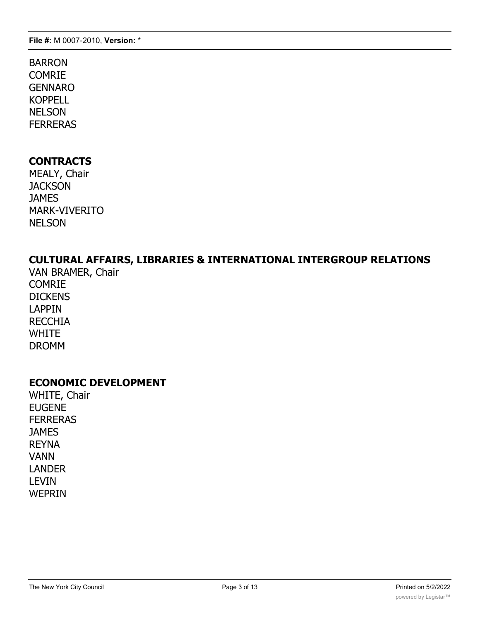### BARRON **COMRIE** GENNARO KOPPELL **NELSON** FERRERAS

### **CONTRACTS**

MEALY, Chair **JACKSON JAMES** MARK-VIVERITO NELSON

# **CULTURAL AFFAIRS, LIBRARIES & INTERNATIONAL INTERGROUP RELATIONS**

VAN BRAMER, Chair COMRIE **DICKENS** LAPPIN RECCHIA WHITE DROMM

### **ECONOMIC DEVELOPMENT**

WHITE, Chair EUGENE FERRERAS **JAMES** REYNA VANN LANDER LEVIN WEPRIN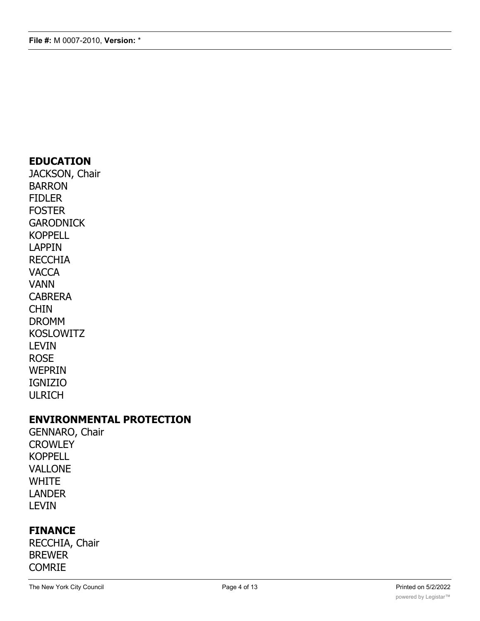### **EDUCATION**

JACKSON, Chair BARRON FIDLER FOSTER **GARODNICK** KOPPELL LAPPIN **RECCHIA VACCA** VANN CABRERA CHIN DROMM KOSLOWITZ LEVIN ROSE WEPRIN IGNIZIO ULRICH

### **ENVIRONMENTAL PROTECTION**

GENNARO, Chair **CROWLEY** KOPPELL VALLONE WHITE LANDER LEVIN

### **FINANCE**

RECCHIA, Chair BREWER COMRIE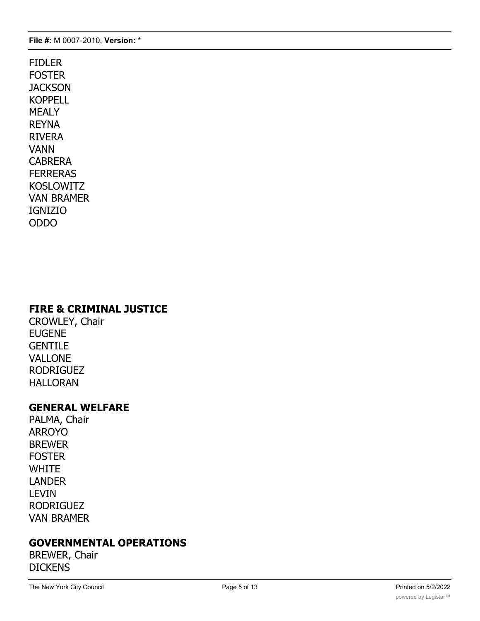FIDLER FOSTER **JACKSON KOPPELL** MEALY REYNA RIVERA VANN CABRERA FERRERAS KOSLOWITZ VAN BRAMER IGNIZIO ODDO

### **FIRE & CRIMINAL JUSTICE**

CROWLEY, Chair EUGENE **GENTILE** VALLONE RODRIGUEZ HALLORAN

### **GENERAL WELFARE**

PALMA, Chair ARROYO BREWER **FOSTER WHITE** LANDER LEVIN RODRIGUEZ VAN BRAMER

# **GOVERNMENTAL OPERATIONS**

BREWER, Chair **DICKENS**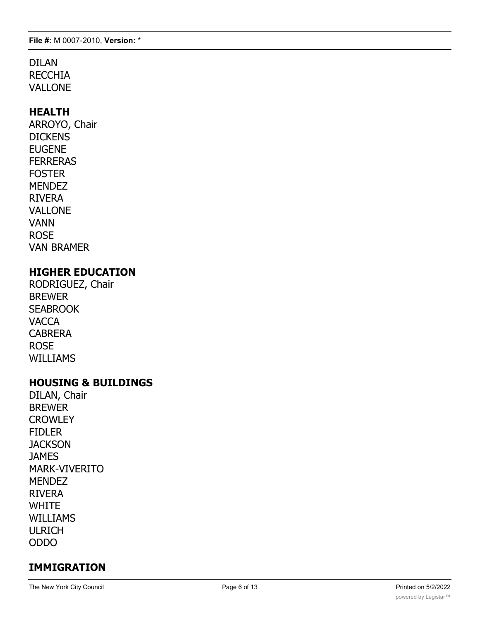#### DILAN **RECCHIA** VALLONE

### **HEALTH**

ARROYO, Chair **DICKENS** EUGENE FERRERAS FOSTER **MENDEZ** RIVERA VALLONE VANN ROSE VAN BRAMER

### **HIGHER EDUCATION**

RODRIGUEZ, Chair BREWER **SEABROOK VACCA** CABRERA ROSE WILLIAMS

### **HOUSING & BUILDINGS**

DILAN, Chair BREWER **CROWLEY** FIDLER **JACKSON JAMES** MARK-VIVERITO MENDEZ RIVERA **WHITE** WILLIAMS ULRICH ODDO

### **IMMIGRATION**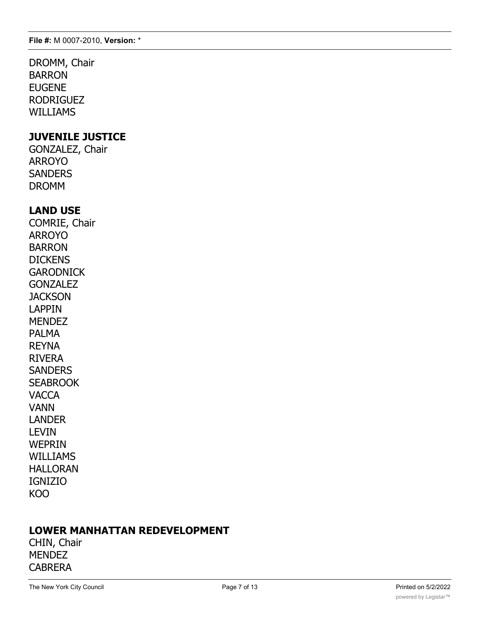DROMM, Chair BARRON EUGENE RODRIGUEZ WILLIAMS

### **JUVENILE JUSTICE**

GONZALEZ, Chair ARROYO **SANDERS** DROMM

### **LAND USE**

COMRIE, Chair ARROYO BARRON **DICKENS GARODNICK** GONZALEZ **JACKSON** LAPPIN MENDEZ PALMA REYNA RIVERA **SANDERS SEABROOK VACCA** VANN LANDER LEVIN **WEPRIN** WILLIAMS HALLORAN IGNIZIO KOO

### **LOWER MANHATTAN REDEVELOPMENT**

CHIN, Chair **MENDEZ** CABRERA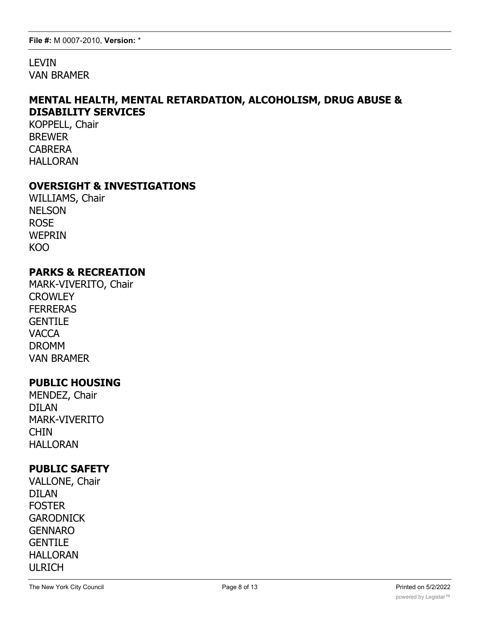LEVIN VAN BRAMER

### **MENTAL HEALTH, MENTAL RETARDATION, ALCOHOLISM, DRUG ABUSE & DISABILITY SERVICES**

KOPPELL, Chair BREWER CABRERA HALLORAN

### **OVERSIGHT & INVESTIGATIONS**

WILLIAMS, Chair NELSON ROSE WEPRIN KOO

#### **PARKS & RECREATION**

MARK-VIVERITO, Chair **CROWLEY FERRERAS GENTILE VACCA** DROMM VAN BRAMER

#### **PUBLIC HOUSING**

MENDEZ, Chair DILAN MARK-VIVERITO CHIN HALLORAN

### **PUBLIC SAFETY**

VALLONE, Chair DILAN FOSTER **GARODNICK** GENNARO **GENTILE** HALLORAN ULRICH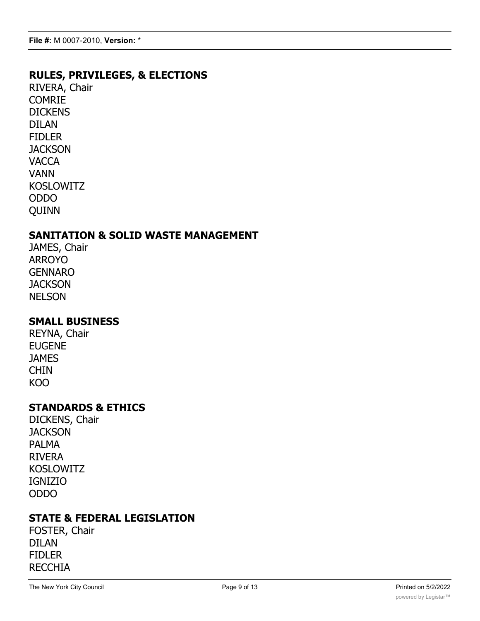### **RULES, PRIVILEGES, & ELECTIONS**

RIVERA, Chair COMRIE **DICKENS** DILAN FIDLER **JACKSON VACCA** VANN KOSLOWITZ ODDO QUINN

### **SANITATION & SOLID WASTE MANAGEMENT**

JAMES, Chair ARROYO GENNARO **JACKSON NELSON** 

### **SMALL BUSINESS**

REYNA, Chair EUGENE **JAMES CHIN** KOO

#### **STANDARDS & ETHICS**

DICKENS, Chair **JACKSON** PALMA RIVERA KOSLOWITZ IGNIZIO ODDO

### **STATE & FEDERAL LEGISLATION**

FOSTER, Chair DILAN FIDLER RECCHIA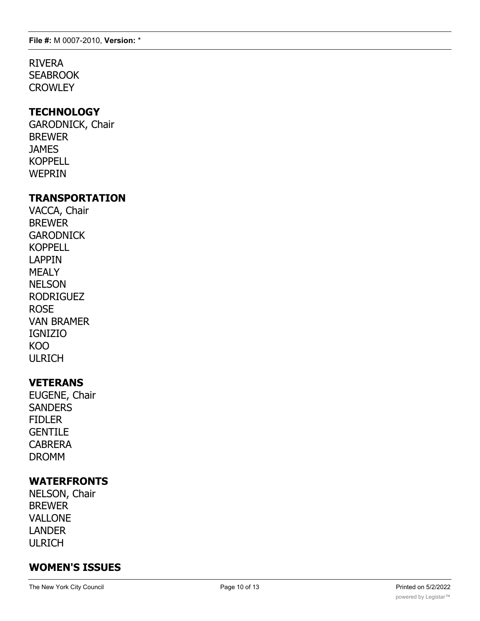**File #:** M 0007-2010, **Version:** \*

# RIVERA

**SEABROOK CROWLEY** 

### **TECHNOLOGY**

GARODNICK, Chair BREWER **JAMES** KOPPELL WEPRIN

### **TRANSPORTATION**

VACCA, Chair BREWER **GARODNICK** KOPPELL LAPPIN MEALY NELSON RODRIGUEZ ROSE VAN BRAMER IGNIZIO KOO ULRICH

### **VETERANS**

EUGENE, Chair **SANDERS** FIDLER **GENTILE** CABRERA DROMM

### **WATERFRONTS**

NELSON, Chair BREWER VALLONE LANDER ULRICH

# **WOMEN'S ISSUES**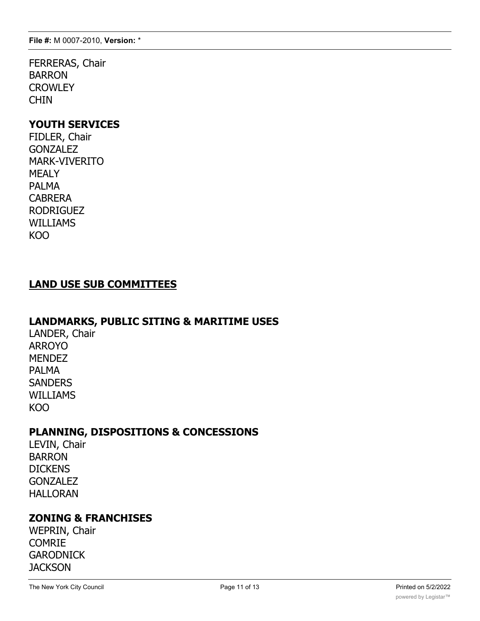**File #:** M 0007-2010, **Version:** \*

FERRERAS, Chair BARRON **CROWLEY** CHIN

#### **YOUTH SERVICES**

FIDLER, Chair **GONZALEZ** MARK-VIVERITO MEALY PALMA CABRERA RODRIGUEZ WILLIAMS KOO

### **LAND USE SUB COMMITTEES**

#### **LANDMARKS, PUBLIC SITING & MARITIME USES**

LANDER, Chair ARROYO **MENDEZ** PALMA **SANDERS** WILLIAMS KOO

### **PLANNING, DISPOSITIONS & CONCESSIONS**

LEVIN, Chair BARRON **DICKENS GONZALEZ** HALLORAN

### **ZONING & FRANCHISES**

WEPRIN, Chair COMRIE **GARODNICK JACKSON**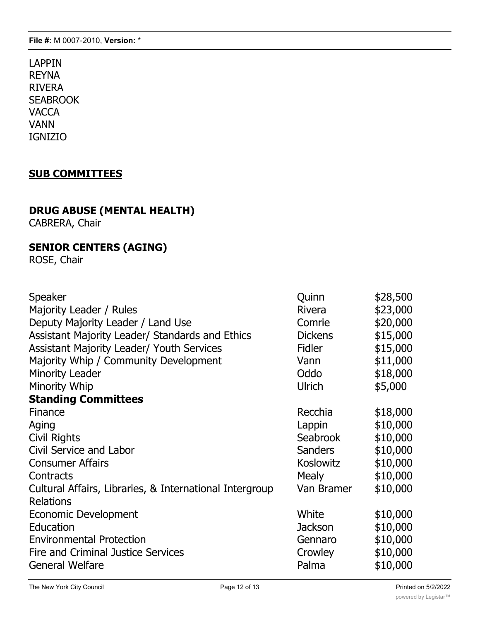LAPPIN REYNA RIVERA **SEABROOK VACCA** VANN IGNIZIO

### **SUB COMMITTEES**

# **DRUG ABUSE (MENTAL HEALTH)**

CABRERA, Chair

# **SENIOR CENTERS (AGING)**

ROSE, Chair

| Speaker                                                 | Quinn          | \$28,500 |
|---------------------------------------------------------|----------------|----------|
| Majority Leader / Rules                                 | <b>Rivera</b>  | \$23,000 |
| Deputy Majority Leader / Land Use                       | Comrie         | \$20,000 |
| Assistant Majority Leader/ Standards and Ethics         | <b>Dickens</b> | \$15,000 |
| <b>Assistant Majority Leader/ Youth Services</b>        | <b>Fidler</b>  | \$15,000 |
| Majority Whip / Community Development                   | Vann           | \$11,000 |
| <b>Minority Leader</b>                                  | Oddo           | \$18,000 |
| Minority Whip                                           | Ulrich         | \$5,000  |
| <b>Standing Committees</b>                              |                |          |
| Finance                                                 | Recchia        | \$18,000 |
| Aging                                                   | Lappin         | \$10,000 |
| <b>Civil Rights</b>                                     | Seabrook       | \$10,000 |
| Civil Service and Labor                                 | <b>Sanders</b> | \$10,000 |
| <b>Consumer Affairs</b>                                 | Koslowitz      | \$10,000 |
| Contracts                                               | <b>Mealy</b>   | \$10,000 |
| Cultural Affairs, Libraries, & International Intergroup | Van Bramer     | \$10,000 |
| <b>Relations</b>                                        |                |          |
| Economic Development                                    | White          | \$10,000 |
| Education                                               | <b>Jackson</b> | \$10,000 |
| <b>Environmental Protection</b>                         | Gennaro        | \$10,000 |
| <b>Fire and Criminal Justice Services</b>               | Crowley        | \$10,000 |
| <b>General Welfare</b>                                  | Palma          | \$10,000 |
|                                                         |                |          |